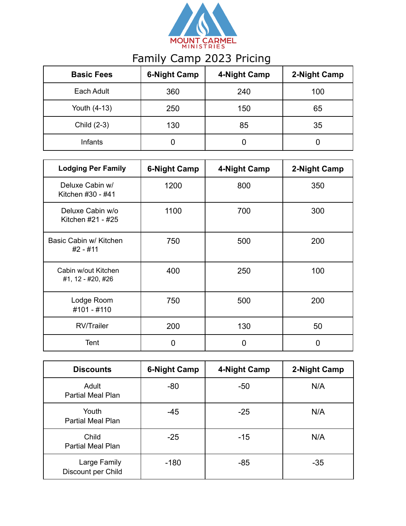

## Family Camp 2023 Pricing

| <b>Basic Fees</b> | <b>6-Night Camp</b> | 4-Night Camp | 2-Night Camp |
|-------------------|---------------------|--------------|--------------|
| Each Adult        | 360                 | 240          | 100          |
| Youth (4-13)      | 250                 | 150          | 65           |
| Child (2-3)       | 130                 | 85           | 35           |
| Infants           |                     | 0            |              |

| <b>Lodging Per Family</b>                | <b>6-Night Camp</b> | 4-Night Camp | 2-Night Camp |
|------------------------------------------|---------------------|--------------|--------------|
| Deluxe Cabin w/<br>Kitchen #30 - #41     | 1200                | 800          | 350          |
| Deluxe Cabin w/o<br>Kitchen #21 - #25    | 1100                | 700          | 300          |
| Basic Cabin w/ Kitchen<br>#2 - #11       | 750                 | 500          | 200          |
| Cabin w/out Kitchen<br>#1, 12 - #20, #26 | 400                 | 250          | 100          |
| Lodge Room<br>#101 - #110                | 750                 | 500          | 200          |
| <b>RV/Trailer</b>                        | 200                 | 130          | 50           |
| Tent                                     | 0                   | 0            | 0            |

| <b>Discounts</b>                   | <b>6-Night Camp</b> | 4-Night Camp | 2-Night Camp |
|------------------------------------|---------------------|--------------|--------------|
| Adult<br>Partial Meal Plan         | $-80$               | $-50$        | N/A          |
| Youth<br><b>Partial Meal Plan</b>  | $-45$               | $-25$        | N/A          |
| Child<br><b>Partial Meal Plan</b>  | $-25$               | $-15$        | N/A          |
| Large Family<br>Discount per Child | $-180$              | $-85$        | $-35$        |